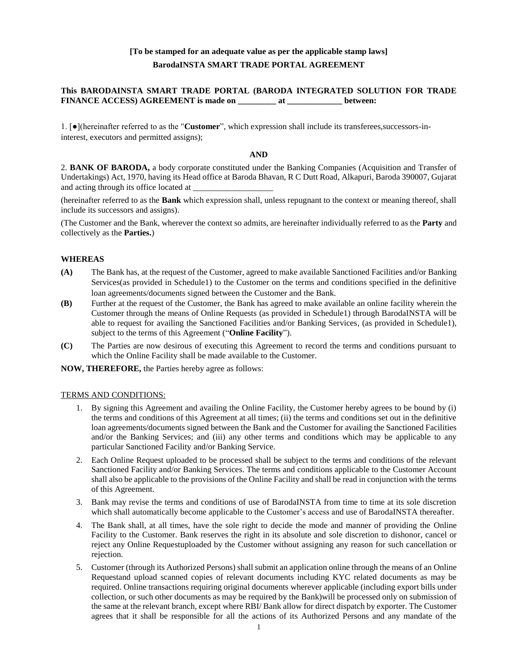# **[To be stamped for an adequate value as per the applicable stamp laws] BarodaINSTA SMART TRADE PORTAL AGREEMENT**

## **This BARODAINSTA SMART TRADE PORTAL (BARODA INTEGRATED SOLUTION FOR TRADE FINANCE ACCESS) AGREEMENT is made on \_\_\_\_\_\_\_\_\_ at \_\_\_\_\_\_\_\_\_\_\_\_\_ between:**

1. [●](hereinafter referred to as the "**Customer**", which expression shall include its transferees,successors-ininterest, executors and permitted assigns);

#### **AND**

2. **BANK OF BARODA,** a body corporate constituted under the Banking Companies (Acquisition and Transfer of Undertakings) Act, 1970, having its Head office at Baroda Bhavan, R C Dutt Road, Alkapuri, Baroda 390007, Gujarat and acting through its office located at

(hereinafter referred to as the **Bank** which expression shall, unless repugnant to the context or meaning thereof, shall include its successors and assigns).

(The Customer and the Bank, wherever the context so admits, are hereinafter individually referred to as the **Party** and collectively as the **Parties.**)

### **WHEREAS**

- **(A)** The Bank has, at the request of the Customer, agreed to make available Sanctioned Facilities and/or Banking Services(as provided in Schedule1) to the Customer on the terms and conditions specified in the definitive loan agreements/documents signed between the Customer and the Bank.
- **(B)** Further at the request of the Customer, the Bank has agreed to make available an online facility wherein the Customer through the means of Online Requests (as provided in Schedule1) through BarodaINSTA will be able to request for availing the Sanctioned Facilities and/or Banking Services, (as provided in Schedule1), subject to the terms of this Agreement ("**Online Facility**").
- **(C)** The Parties are now desirous of executing this Agreement to record the terms and conditions pursuant to which the Online Facility shall be made available to the Customer.

**NOW, THEREFORE,** the Parties hereby agree as follows:

#### TERMS AND CONDITIONS:

- 1. By signing this Agreement and availing the Online Facility, the Customer hereby agrees to be bound by (i) the terms and conditions of this Agreement at all times; (ii) the terms and conditions set out in the definitive loan agreements/documents signed between the Bank and the Customer for availing the Sanctioned Facilities and/or the Banking Services; and (iii) any other terms and conditions which may be applicable to any particular Sanctioned Facility and/or Banking Service.
- 2. Each Online Request uploaded to be processed shall be subject to the terms and conditions of the relevant Sanctioned Facility and/or Banking Services. The terms and conditions applicable to the Customer Account shall also be applicable to the provisions of the Online Facility and shall be read in conjunction with the terms of this Agreement.
- 3. Bank may revise the terms and conditions of use of BarodaINSTA from time to time at its sole discretion which shall automatically become applicable to the Customer's access and use of BarodaINSTA thereafter.
- 4. The Bank shall, at all times, have the sole right to decide the mode and manner of providing the Online Facility to the Customer. Bank reserves the right in its absolute and sole discretion to dishonor, cancel or reject any Online Requestuploaded by the Customer without assigning any reason for such cancellation or rejection.
- 5. Customer (through its Authorized Persons) shall submit an application online through the means of an Online Requestand upload scanned copies of relevant documents including KYC related documents as may be required. Online transactions requiring original documents wherever applicable (including export bills under collection, or such other documents as may be required by the Bank)will be processed only on submission of the same at the relevant branch, except where RBI/ Bank allow for direct dispatch by exporter. The Customer agrees that it shall be responsible for all the actions of its Authorized Persons and any mandate of the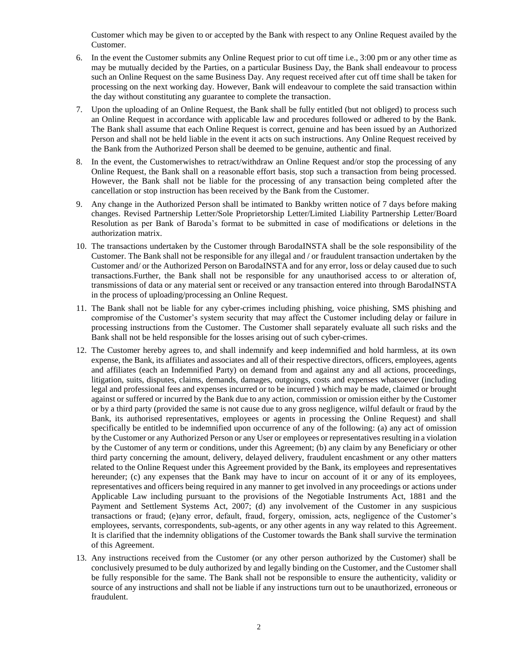Customer which may be given to or accepted by the Bank with respect to any Online Request availed by the Customer.

- 6. In the event the Customer submits any Online Request prior to cut off time i.e., 3:00 pm or any other time as may be mutually decided by the Parties, on a particular Business Day, the Bank shall endeavour to process such an Online Request on the same Business Day. Any request received after cut off time shall be taken for processing on the next working day. However, Bank will endeavour to complete the said transaction within the day without constituting any guarantee to complete the transaction.
- 7. Upon the uploading of an Online Request, the Bank shall be fully entitled (but not obliged) to process such an Online Request in accordance with applicable law and procedures followed or adhered to by the Bank. The Bank shall assume that each Online Request is correct, genuine and has been issued by an Authorized Person and shall not be held liable in the event it acts on such instructions. Any Online Request received by the Bank from the Authorized Person shall be deemed to be genuine, authentic and final.
- 8. In the event, the Customerwishes to retract/withdraw an Online Request and/or stop the processing of any Online Request, the Bank shall on a reasonable effort basis, stop such a transaction from being processed. However, the Bank shall not be liable for the processing of any transaction being completed after the cancellation or stop instruction has been received by the Bank from the Customer.
- 9. Any change in the Authorized Person shall be intimated to Bankby written notice of 7 days before making changes. Revised Partnership Letter/Sole Proprietorship Letter/Limited Liability Partnership Letter/Board Resolution as per Bank of Baroda's format to be submitted in case of modifications or deletions in the authorization matrix.
- 10. The transactions undertaken by the Customer through BarodaINSTA shall be the sole responsibility of the Customer. The Bank shall not be responsible for any illegal and / or fraudulent transaction undertaken by the Customer and/ or the Authorized Person on BarodaINSTA and for any error, loss or delay caused due to such transactions.Further, the Bank shall not be responsible for any unauthorised access to or alteration of, transmissions of data or any material sent or received or any transaction entered into through BarodaINSTA in the process of uploading/processing an Online Request.
- 11. The Bank shall not be liable for any cyber-crimes including phishing, voice phishing, SMS phishing and compromise of the Customer's system security that may affect the Customer including delay or failure in processing instructions from the Customer. The Customer shall separately evaluate all such risks and the Bank shall not be held responsible for the losses arising out of such cyber-crimes.
- 12. The Customer hereby agrees to, and shall indemnify and keep indemnified and hold harmless, at its own expense, the Bank, its affiliates and associates and all of their respective directors, officers, employees, agents and affiliates (each an Indemnified Party) on demand from and against any and all actions, proceedings, litigation, suits, disputes, claims, demands, damages, outgoings, costs and expenses whatsoever (including legal and professional fees and expenses incurred or to be incurred ) which may be made, claimed or brought against or suffered or incurred by the Bank due to any action, commission or omission either by the Customer or by a third party (provided the same is not cause due to any gross negligence, wilful default or fraud by the Bank, its authorised representatives, employees or agents in processing the Online Request) and shall specifically be entitled to be indemnified upon occurrence of any of the following: (a) any act of omission by the Customer or any Authorized Person or any User or employees or representatives resulting in a violation by the Customer of any term or conditions, under this Agreement; (b) any claim by any Beneficiary or other third party concerning the amount, delivery, delayed delivery, fraudulent encashment or any other matters related to the Online Request under this Agreement provided by the Bank, its employees and representatives hereunder; (c) any expenses that the Bank may have to incur on account of it or any of its employees, representatives and officers being required in any manner to get involved in any proceedings or actions under Applicable Law including pursuant to the provisions of the Negotiable Instruments Act, 1881 and the Payment and Settlement Systems Act, 2007; (d) any involvement of the Customer in any suspicious transactions or fraud; (e)any error, default, fraud, forgery, omission, acts, negligence of the Customer's employees, servants, correspondents, sub-agents, or any other agents in any way related to this Agreement. It is clarified that the indemnity obligations of the Customer towards the Bank shall survive the termination of this Agreement.
- 13. Any instructions received from the Customer (or any other person authorized by the Customer) shall be conclusively presumed to be duly authorized by and legally binding on the Customer, and the Customer shall be fully responsible for the same. The Bank shall not be responsible to ensure the authenticity, validity or source of any instructions and shall not be liable if any instructions turn out to be unauthorized, erroneous or fraudulent.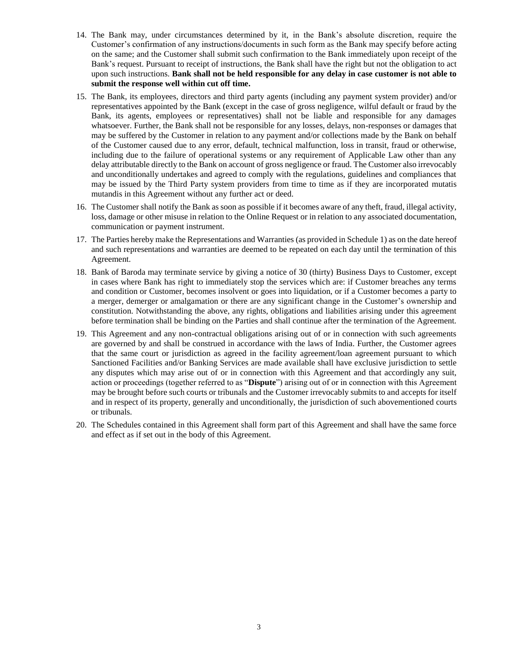- 14. The Bank may, under circumstances determined by it, in the Bank's absolute discretion, require the Customer's confirmation of any instructions/documents in such form as the Bank may specify before acting on the same; and the Customer shall submit such confirmation to the Bank immediately upon receipt of the Bank's request. Pursuant to receipt of instructions, the Bank shall have the right but not the obligation to act upon such instructions. **Bank shall not be held responsible for any delay in case customer is not able to submit the response well within cut off time.**
- 15. The Bank, its employees, directors and third party agents (including any payment system provider) and/or representatives appointed by the Bank (except in the case of gross negligence, wilful default or fraud by the Bank, its agents, employees or representatives) shall not be liable and responsible for any damages whatsoever. Further, the Bank shall not be responsible for any losses, delays, non-responses or damages that may be suffered by the Customer in relation to any payment and/or collections made by the Bank on behalf of the Customer caused due to any error, default, technical malfunction, loss in transit, fraud or otherwise, including due to the failure of operational systems or any requirement of Applicable Law other than any delay attributable directly to the Bank on account of gross negligence or fraud. The Customer also irrevocably and unconditionally undertakes and agreed to comply with the regulations, guidelines and compliances that may be issued by the Third Party system providers from time to time as if they are incorporated mutatis mutandis in this Agreement without any further act or deed.
- 16. The Customer shall notify the Bank as soon as possible if it becomes aware of any theft, fraud, illegal activity, loss, damage or other misuse in relation to the Online Request or in relation to any associated documentation, communication or payment instrument.
- 17. The Parties hereby make the Representations and Warranties (as provided in Schedule 1) as on the date hereof and such representations and warranties are deemed to be repeated on each day until the termination of this Agreement.
- 18. Bank of Baroda may terminate service by giving a notice of 30 (thirty) Business Days to Customer, except in cases where Bank has right to immediately stop the services which are: if Customer breaches any terms and condition or Customer, becomes insolvent or goes into liquidation, or if a Customer becomes a party to a merger, demerger or amalgamation or there are any significant change in the Customer's ownership and constitution. Notwithstanding the above, any rights, obligations and liabilities arising under this agreement before termination shall be binding on the Parties and shall continue after the termination of the Agreement.
- 19. This Agreement and any non-contractual obligations arising out of or in connection with such agreements are governed by and shall be construed in accordance with the laws of India. Further, the Customer agrees that the same court or jurisdiction as agreed in the facility agreement/loan agreement pursuant to which Sanctioned Facilities and/or Banking Services are made available shall have exclusive jurisdiction to settle any disputes which may arise out of or in connection with this Agreement and that accordingly any suit, action or proceedings (together referred to as "**Dispute**") arising out of or in connection with this Agreement may be brought before such courts or tribunals and the Customer irrevocably submits to and accepts for itself and in respect of its property, generally and unconditionally, the jurisdiction of such abovementioned courts or tribunals.
- 20. The Schedules contained in this Agreement shall form part of this Agreement and shall have the same force and effect as if set out in the body of this Agreement.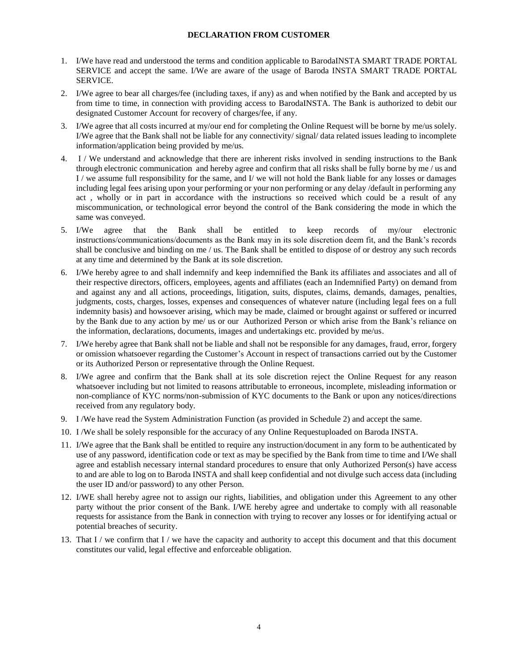## **DECLARATION FROM CUSTOMER**

- 1. I/We have read and understood the terms and condition applicable to BarodaINSTA SMART TRADE PORTAL SERVICE and accept the same. I/We are aware of the usage of Baroda INSTA SMART TRADE PORTAL SERVICE.
- 2. I/We agree to bear all charges/fee (including taxes, if any) as and when notified by the Bank and accepted by us from time to time, in connection with providing access to BarodaINSTA. The Bank is authorized to debit our designated Customer Account for recovery of charges/fee, if any.
- 3. I/We agree that all costs incurred at my/our end for completing the Online Request will be borne by me/us solely. I/We agree that the Bank shall not be liable for any connectivity/ signal/ data related issues leading to incomplete information/application being provided by me/us.
- 4. I / We understand and acknowledge that there are inherent risks involved in sending instructions to the Bank through electronic communication and hereby agree and confirm that all risks shall be fully borne by me / us and I / we assume full responsibility for the same, and I/ we will not hold the Bank liable for any losses or damages including legal fees arising upon your performing or your non performing or any delay /default in performing any act , wholly or in part in accordance with the instructions so received which could be a result of any miscommunication, or technological error beyond the control of the Bank considering the mode in which the same was conveyed.
- 5. I/We agree that the Bank shall be entitled to keep records of my/our electronic instructions/communications/documents as the Bank may in its sole discretion deem fit, and the Bank's records shall be conclusive and binding on me / us. The Bank shall be entitled to dispose of or destroy any such records at any time and determined by the Bank at its sole discretion.
- 6. I/We hereby agree to and shall indemnify and keep indemnified the Bank its affiliates and associates and all of their respective directors, officers, employees, agents and affiliates (each an Indemnified Party) on demand from and against any and all actions, proceedings, litigation, suits, disputes, claims, demands, damages, penalties, judgments, costs, charges, losses, expenses and consequences of whatever nature (including legal fees on a full indemnity basis) and howsoever arising, which may be made, claimed or brought against or suffered or incurred by the Bank due to any action by me/ us or our Authorized Person or which arise from the Bank's reliance on the information, declarations, documents, images and undertakings etc. provided by me/us.
- 7. I/We hereby agree that Bank shall not be liable and shall not be responsible for any damages, fraud, error, forgery or omission whatsoever regarding the Customer's Account in respect of transactions carried out by the Customer or its Authorized Person or representative through the Online Request.
- 8. I/We agree and confirm that the Bank shall at its sole discretion reject the Online Request for any reason whatsoever including but not limited to reasons attributable to erroneous, incomplete, misleading information or non-compliance of KYC norms/non-submission of KYC documents to the Bank or upon any notices/directions received from any regulatory body.
- 9. I /We have read the System Administration Function (as provided in Schedule 2) and accept the same.
- 10. I /We shall be solely responsible for the accuracy of any Online Requestuploaded on Baroda INSTA.
- 11. I/We agree that the Bank shall be entitled to require any instruction/document in any form to be authenticated by use of any password, identification code or text as may be specified by the Bank from time to time and I/We shall agree and establish necessary internal standard procedures to ensure that only Authorized Person(s) have access to and are able to log on to Baroda INSTA and shall keep confidential and not divulge such access data (including the user ID and/or password) to any other Person.
- 12. I/WE shall hereby agree not to assign our rights, liabilities, and obligation under this Agreement to any other party without the prior consent of the Bank. I/WE hereby agree and undertake to comply with all reasonable requests for assistance from the Bank in connection with trying to recover any losses or for identifying actual or potential breaches of security.
- 13. That I / we confirm that I / we have the capacity and authority to accept this document and that this document constitutes our valid, legal effective and enforceable obligation.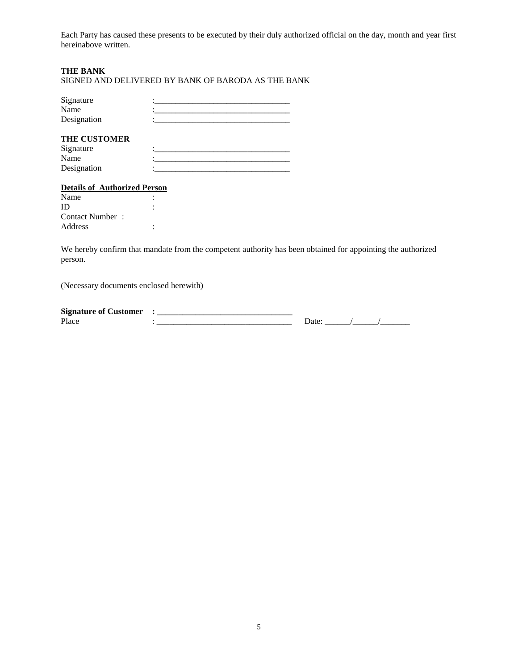Each Party has caused these presents to be executed by their duly authorized official on the day, month and year first hereinabove written.

## **THE BANK**

SIGNED AND DELIVERED BY BANK OF BARODA AS THE BANK

| Signature   |  |
|-------------|--|
| Name        |  |
| Designation |  |
|             |  |

# **THE CUSTOMER**

| Signature   |  |
|-------------|--|
| Name        |  |
| Designation |  |

# **Details of Authorized Person**

| Contact Number: |  |
|-----------------|--|
|                 |  |
|                 |  |

We hereby confirm that mandate from the competent authority has been obtained for appointing the authorized person.

(Necessary documents enclosed herewith)

| $\sim$<br>-----<br>Signature<br>Λt<br>uer<br>. . |            |  |  |  |
|--------------------------------------------------|------------|--|--|--|
| $Pl_{3C}$<br>1 iacc                              | __________ |  |  |  |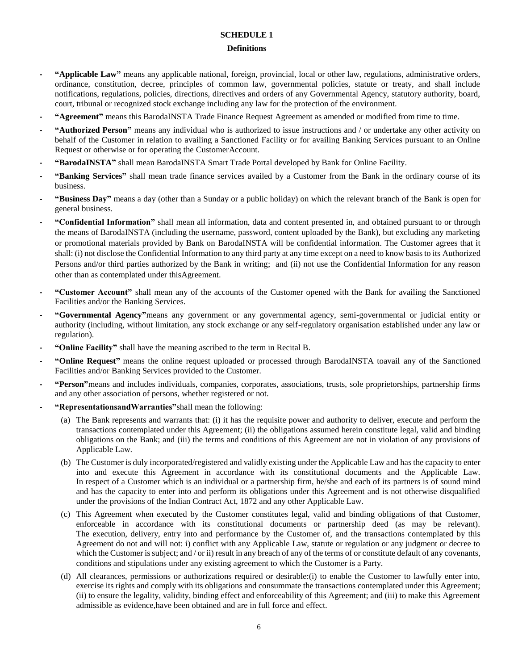# **SCHEDULE 1**

# **Definitions**

- **- "Applicable Law"** means any applicable national, foreign, provincial, local or other law, regulations, administrative orders, ordinance, constitution, decree, principles of common law, governmental policies, statute or treaty, and shall include notifications, regulations, policies, directions, directives and orders of any Governmental Agency, statutory authority, board, court, tribunal or recognized stock exchange including any law for the protection of the environment.
- **- "Agreement"** means this BarodaINSTA Trade Finance Request Agreement as amended or modified from time to time.
- **- "Authorized Person"** means any individual who is authorized to issue instructions and / or undertake any other activity on behalf of the Customer in relation to availing a Sanctioned Facility or for availing Banking Services pursuant to an Online Request or otherwise or for operating the CustomerAccount.
- **- "BarodaINSTA"** shall mean BarodaINSTA Smart Trade Portal developed by Bank for Online Facility.
- **- "Banking Services"** shall mean trade finance services availed by a Customer from the Bank in the ordinary course of its business.
- **- "Business Day"** means a day (other than a Sunday or a public holiday) on which the relevant branch of the Bank is open for general business.
- **- "Confidential Information"** shall mean all information, data and content presented in, and obtained pursuant to or through the means of BarodaINSTA (including the username, password, content uploaded by the Bank), but excluding any marketing or promotional materials provided by Bank on BarodaINSTA will be confidential information. The Customer agrees that it shall: (i) not disclose the Confidential Information to any third party at any time except on a need to know basis to its Authorized Persons and/or third parties authorized by the Bank in writing; and (ii) not use the Confidential Information for any reason other than as contemplated under thisAgreement.
- **- "Customer Account"** shall mean any of the accounts of the Customer opened with the Bank for availing the Sanctioned Facilities and/or the Banking Services.
- **- "Governmental Agency"**means any government or any governmental agency, semi-governmental or judicial entity or authority (including, without limitation, any stock exchange or any self-regulatory organisation established under any law or regulation).
- **- "Online Facility"** shall have the meaning ascribed to the term in Recital B.
- **- "Online Request"** means the online request uploaded or processed through BarodaINSTA toavail any of the Sanctioned Facilities and/or Banking Services provided to the Customer.
- **- "Person"**means and includes individuals, companies, corporates, associations, trusts, sole proprietorships, partnership firms and any other association of persons, whether registered or not.
- **- "RepresentationsandWarranties"**shall mean the following:
	- (a) The Bank represents and warrants that: (i) it has the requisite power and authority to deliver, execute and perform the transactions contemplated under this Agreement; (ii) the obligations assumed herein constitute legal, valid and binding obligations on the Bank; and (iii) the terms and conditions of this Agreement are not in violation of any provisions of Applicable Law.
	- (b) The Customer is duly incorporated/registered and validly existing under the Applicable Law and has the capacity to enter into and execute this Agreement in accordance with its constitutional documents and the Applicable Law. In respect of a Customer which is an individual or a partnership firm, he/she and each of its partners is of sound mind and has the capacity to enter into and perform its obligations under this Agreement and is not otherwise disqualified under the provisions of the Indian Contract Act, 1872 and any other Applicable Law.
	- (c) This Agreement when executed by the Customer constitutes legal, valid and binding obligations of that Customer, enforceable in accordance with its constitutional documents or partnership deed (as may be relevant). The execution, delivery, entry into and performance by the Customer of, and the transactions contemplated by this Agreement do not and will not: i) conflict with any Applicable Law, statute or regulation or any judgment or decree to which the Customer is subject; and / or ii) result in any breach of any of the terms of or constitute default of any covenants, conditions and stipulations under any existing agreement to which the Customer is a Party.
	- (d) All clearances, permissions or authorizations required or desirable:(i) to enable the Customer to lawfully enter into, exercise its rights and comply with its obligations and consummate the transactions contemplated under this Agreement; (ii) to ensure the legality, validity, binding effect and enforceability of this Agreement; and (iii) to make this Agreement admissible as evidence,have been obtained and are in full force and effect.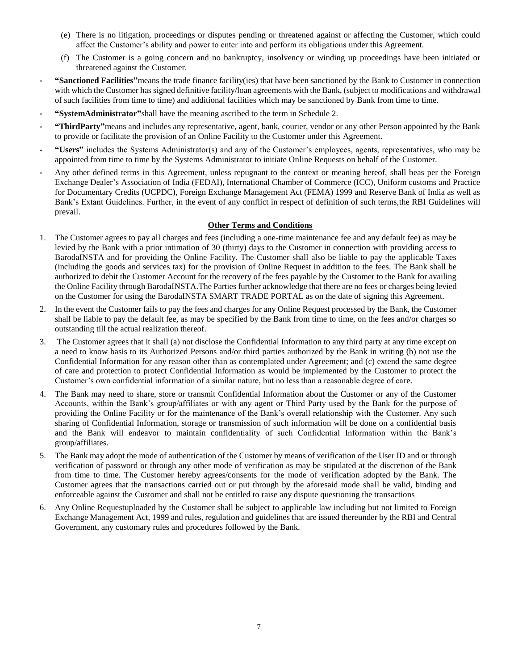- (e) There is no litigation, proceedings or disputes pending or threatened against or affecting the Customer, which could affect the Customer's ability and power to enter into and perform its obligations under this Agreement.
- (f) The Customer is a going concern and no bankruptcy, insolvency or winding up proceedings have been initiated or threatened against the Customer.
- **- "Sanctioned Facilities"**means the trade finance facility(ies) that have been sanctioned by the Bank to Customer in connection with which the Customer has signed definitive facility/loan agreements with the Bank, (subject to modifications and withdrawal of such facilities from time to time) and additional facilities which may be sanctioned by Bank from time to time.
- **- "SystemAdministrator"**shall have the meaning ascribed to the term in Schedule 2.
- **- "ThirdParty"**means and includes any representative, agent, bank, courier, vendor or any other Person appointed by the Bank to provide or facilitate the provision of an Online Facility to the Customer under this Agreement.
- **- "Users"** includes the Systems Administrator(s) and any of the Customer's employees, agents, representatives, who may be appointed from time to time by the Systems Administrator to initiate Online Requests on behalf of the Customer.
- **-** Any other defined terms in this Agreement, unless repugnant to the context or meaning hereof, shall beas per the Foreign Exchange Dealer's Association of India (FEDAI), International Chamber of Commerce (ICC), Uniform customs and Practice for Documentary Credits (UCPDC), Foreign Exchange Management Act (FEMA) 1999 and Reserve Bank of India as well as Bank's Extant Guidelines. Further, in the event of any conflict in respect of definition of such terms,the RBI Guidelines will prevail.

## **Other Terms and Conditions**

- 1. The Customer agrees to pay all charges and fees (including a one-time maintenance fee and any default fee) as may be levied by the Bank with a prior intimation of 30 (thirty) days to the Customer in connection with providing access to BarodaINSTA and for providing the Online Facility. The Customer shall also be liable to pay the applicable Taxes (including the goods and services tax) for the provision of Online Request in addition to the fees. The Bank shall be authorized to debit the Customer Account for the recovery of the fees payable by the Customer to the Bank for availing the Online Facility through BarodaINSTA.The Parties further acknowledge that there are no fees or charges being levied on the Customer for using the BarodaINSTA SMART TRADE PORTAL as on the date of signing this Agreement.
- 2. In the event the Customer fails to pay the fees and charges for any Online Request processed by the Bank, the Customer shall be liable to pay the default fee, as may be specified by the Bank from time to time, on the fees and/or charges so outstanding till the actual realization thereof.
- 3. The Customer agrees that it shall (a) not disclose the Confidential Information to any third party at any time except on a need to know basis to its Authorized Persons and/or third parties authorized by the Bank in writing (b) not use the Confidential Information for any reason other than as contemplated under Agreement; and (c) extend the same degree of care and protection to protect Confidential Information as would be implemented by the Customer to protect the Customer's own confidential information of a similar nature, but no less than a reasonable degree of care.
- 4. The Bank may need to share, store or transmit Confidential Information about the Customer or any of the Customer Accounts, within the Bank's group/affiliates or with any agent or Third Party used by the Bank for the purpose of providing the Online Facility or for the maintenance of the Bank's overall relationship with the Customer. Any such sharing of Confidential Information, storage or transmission of such information will be done on a confidential basis and the Bank will endeavor to maintain confidentiality of such Confidential Information within the Bank's group/affiliates.
- 5. The Bank may adopt the mode of authentication of the Customer by means of verification of the User ID and or through verification of password or through any other mode of verification as may be stipulated at the discretion of the Bank from time to time. The Customer hereby agrees/consents for the mode of verification adopted by the Bank. The Customer agrees that the transactions carried out or put through by the aforesaid mode shall be valid, binding and enforceable against the Customer and shall not be entitled to raise any dispute questioning the transactions
- 6. Any Online Requestuploaded by the Customer shall be subject to applicable law including but not limited to Foreign Exchange Management Act, 1999 and rules, regulation and guidelines that are issued thereunder by the RBI and Central Government, any customary rules and procedures followed by the Bank.